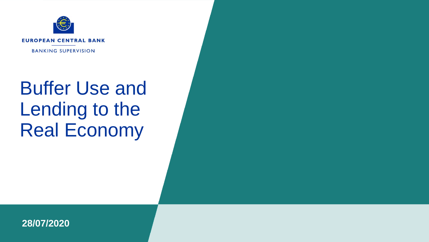

# Buffer Use and Lending to the Real Economy

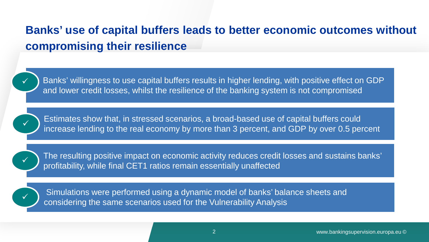### **Banks' use of capital buffers leads to better economic outcomes without compromising their resilience**



Banks' willingness to use capital buffers results in higher lending, with positive effect on GDP and lower credit losses, whilst the resilience of the banking system is not compromised



Estimates show that, in stressed scenarios, a broad-based use of capital buffers could increase lending to the real economy by more than 3 percent, and GDP by over 0.5 percent

The resulting positive impact on economic activity reduces credit losses and sustains banks' profitability, while final CET1 ratios remain essentially unaffected



Simulations were performed using a dynamic model of banks' balance sheets and considering the same scenarios used for the Vulnerability Analysis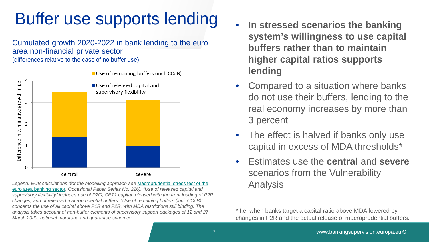## Buffer use supports lending

Cumulated growth 2020-2022 in bank lending to the euro area non-financial private sector (differences relative to the case of no buffer use)



Legend: ECB calculations (for the modelling approach see Macroprudential stress test of the [euro area banking sector](https://www.ecb.europa.eu/pub/pdf/scpops/ecb.op226%7E5e126a8e37.en.pdf)*, Occasional Paper Series No. 226). "Use of released capital and supervisory flexibility" includes use of P2G, CET1 capital released with the front loading of P2R changes, and of released macroprudential buffers. "Use of remaining buffers (incl. CCoB)" concerns the use of all capital above P1R and P2R, with MDA restrictions still binding. The analysis takes account of non-buffer elements of supervisory support packages of 12 and 27 March 2020, national moratoria and guarantee schemes.* 

- **In stressed scenarios the banking system's willingness to use capital buffers rather than to maintain higher capital ratios supports lending**
- Compared to a situation where banks do not use their buffers, lending to the real economy increases by more than 3 percent
- The effect is halved if banks only use capital in excess of MDA thresholds\*
- Estimates use the **central** and **severe** scenarios from the Vulnerability Analysis

\* I.e. when banks target a capital ratio above MDA lowered by changes in P2R and the actual release of macroprudential buffers.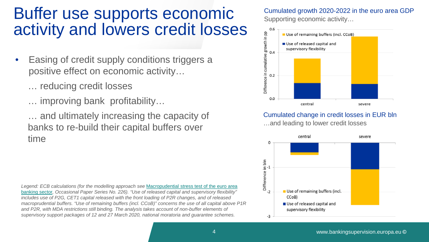### Buffer use supports economic activity and lowers credit losses

- Easing of credit supply conditions triggers a positive effect on economic activity…
	- … reducing credit losses
	- … improving bank profitability…

… and ultimately increasing the capacity of banks to re-build their capital buffers over time

*Legend: ECB calculations (for the modelling approach see* [Macropudential](https://www.ecb.europa.eu/pub/pdf/scpops/ecb.op226%7E5e126a8e37.en.pdf) [stress test of the euro area](https://www.ecb.europa.eu/pub/pdf/scpops/ecb.op226%7E5e126a8e37.en.pdf)  [banking sector](https://www.ecb.europa.eu/pub/pdf/scpops/ecb.op226%7E5e126a8e37.en.pdf)*, Occasional Paper Series No. 226). "Use of released capital and supervisory flexibility" includes use of P2G, CET1 capital released with the front loading of P2R changes, and of released macroprudential buffers. "Use of remaining buffers (incl. CCoB)" concerns the use of all capital above P1R*  and P2R, with MDA restrictions still binding. The analysis takes account of non-buffer elements of *supervisory support packages of 12 and 27 March 2020, national moratoria and guarantee schemes.* 

#### Cumulated growth 2020-2022 in the euro area GDP Supporting economic activity…



#### Cumulated change in credit losses in EUR bln

…and leading to lower credit losses